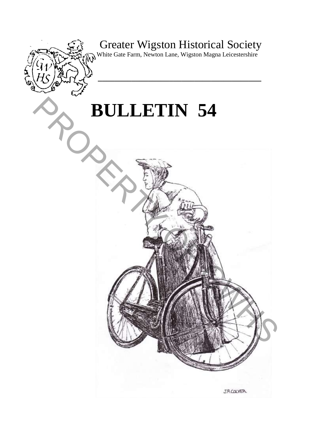# Greater Wigston Historical Society

**\_\_\_\_\_\_\_\_\_\_\_\_\_\_\_\_\_\_\_\_\_\_\_\_\_\_\_\_\_\_\_\_\_\_\_\_\_\_\_** 

White Gate Farm, Newton Lane, Wigston Magna Leicestershire

# **BULLETIN 54**

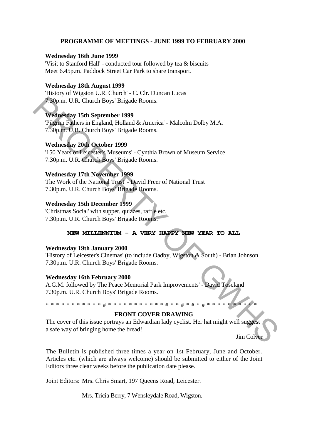#### **PROGRAMME OF MEETINGS - JUNE 1999 TO FEBRUARY 2000**

#### **Wednesday 16th June 1999**

'Visit to Stanford Hall' - conducted tour followed by tea & biscuits Meet 6.45p.m. Paddock Street Car Park to share transport.

#### **Wednesday 18th August 1999**

'History of Wigston U.R. Church' - C. Clr. Duncan Lucas 7.30p.m. U.R. Church Boys' Brigade Rooms.

#### **Wednesday 15th September 1999**

'Pilgrim Fathers in England, Holland & America' - Malcolm Dolby M.A. 7.30p.m. U.R. Church Boys' Brigade Rooms.

#### **Wednesday 20th October 1999**

'150 Years of Leicester's Museums' - Cynthia Brown of Museum Service 7.30p.m. U.R. Church Boys' Brigade Rooms.

#### **Wednesday 17th November 1999**

The Work of the National Trust' - David Freer of National Trust 7.30p.m. U.R. Church Boys' Brigade Rooms.

#### **Wednesday 15th December 1999**

'Christmas Social' with supper, quizzes, raffle etc. 7.30p.m. U.R. Church Boys' Brigade Rooms.

#### **NEW MILLENNIUM - A VERY HAPPY NEW YEAR TO ALL**

#### **Wednesday 19th January 2000**

'History of Leicester's Cinemas' (to include Oadby, Wigston & South) - Brian Johnson 7.30p.m. U.R. Church Boys' Brigade Rooms.

#### **Wednesday 16th February 2000**

A.G.M. followed by The Peace Memorial Park Improvements' - David Toseland 7.30p.m. U.R. Church Boys' Brigade Rooms.

#### \* \* \* \* \* # \* \* \* \* \* \* \* \* \* \* \* # \* \* # \*

#### **FRONT COVER DRAWING**

The cover of this issue portrays an Edwardian lady cyclist. Her hat might well suggest a safe way of bringing home the bread! **Form.** U.R. Church Boys' Brigade Rooms.<br>
Wednesday 15th September 1999<br>
Pigmar U.B. Church Boys' Brigade Rooms.<br>
Wednesday 20th October 1999<br>
150 Years of Legislatt, Holland & America' - Malcolm Dolby M.A.<br>
Wednesday 20t

Jim Colver

The Bulletin is published three times a year on 1st February, June and October. Articles etc. (which are always welcome) should be submitted to either of the Joint Editors three clear weeks before the publication date please.

Joint Editors: Mrs. Chris Smart, 197 Queens Road, Leicester.

Mrs. Tricia Berry, 7 Wensleydale Road, Wigston.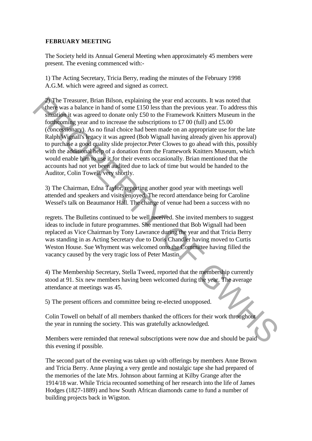#### **FEBRUARY MEETING**

The Society held its Annual General Meeting when approximately 45 members were present. The evening commenced with:-

1) The Acting Secretary, Tricia Berry, reading the minutes of the February 1998 A.G.M. which were agreed and signed as correct.

2) The Treasurer, Brian Bilson, explaining the year end accounts. It was noted that there was a balance in hand of some £150 less than the previous year. To address this situation it was agreed to donate only £50 to the Framework Knitters Museum in the forthcoming year and to increase the subscriptions to £7 00 (full) and £5.00 (concessionary). As no final choice had been made on an appropriate use for the late Ralph Wignall's legacy it was agreed (Bob Wignall having already given his approval) to purchase a good quality slide projector.Peter Clowes to go ahead with this, possibly with the additional help of a donation from the Framework Knitters Museum, which would enable him to use it for their events occasionally. Brian mentioned that the accounts had not yet been audited due to lack of time but would be handed to the Auditor, Colin Towell, very shortly. 2) the Teasurer, Brian Bilson, explaining the year end accounts. It was noted that the peace of content in the pear of accounts of the Francewick Kinters. Museum in the foremention year and to increase the subscriptions t

3) The Chairman, Edna Taylor, reporting another good year with meetings well attended and speakers and visits enjoyed. The record attendance being for Caroline Wessel's talk on Beaumanor Hall. The change of venue had been a success with no

regrets. The Bulletins continued to be well received. She invited members to suggest ideas to include in future programmes. She mentioned that Bob Wignall had been replaced as Vice Chairman by Tony Lawrance during the year and that Tricia Berry was standing in as Acting Secretary due to Doris Chandler having moved to Curtis Weston House. Sue Whyment was welcomed onto the Committee having filled the vacancy caused by the very tragic loss of Peter Mastin. J

4) The Membership Secretary, Stella Tweed, reported that the membership currently stood at 91. Six new members having been welcomed during the year. The average attendance at meetings was 45.

5) The present officers and committee being re-elected unopposed.

Colin Towell on behalf of all members thanked the officers for their work throughout the year in running the society. This was gratefully acknowledged.

Members were reminded that renewal subscriptions were now due and should be paid this evening if possible.

The second part of the evening was taken up with offerings by members Anne Brown and Tricia Berry. Anne playing a very gentle and nostalgic tape she had prepared of the memories of the late Mrs. Johnson about farming at Kilby Grange after the 1914/18 war. While Tricia recounted something of her research into the life of James Hodges (1827-1889) and how South African diamonds came to fund a number of building projects back in Wigston.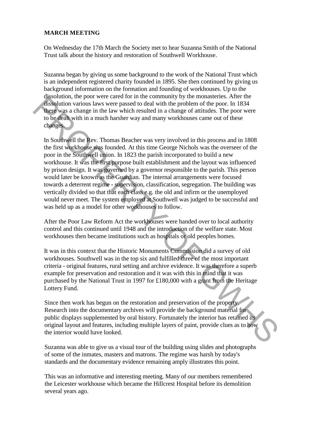#### **MARCH MEETING**

On Wednesday the 17th March the Society met to hear Suzanna Smith of the National Trust talk about the history and restoration of Southwell Workhouse.

Suzanna began by giving us some background to the work of the National Trust which is an independent registered charity founded in 1895. She then continued by giving us background information on the formation and founding of workhouses. Up to the dissolution, the poor were cared for in the community by the monasteries. After the dissolution various laws were passed to deal with the problem of the poor. In 1834 there was a change in the law which resulted in a change of attitudes. The poor were to be dealt with in a much harsher way and many workhouses came out of these changes.

In Southwell the Rev. Thomas Beacher was very involved in this process and in 1808 the first workhouse was founded. At this time George Nichols was the overseer of the poor in the Southwell union. In 1823 the parish incorporated to build a new workhouse. It was the first purpose built establishment and the layout was influenced by prison design. It was governed by a governor responsible to the parish. This person would later be known as the Guardian. The internal arrangements were focused towards a deterrent regime - supervision, classification, segregation. The building was vertically divided so that that each class e.g. the old and infirm or the unemployed would never meet. The system employed at Southwell was judged to be successful and was held up as a model for other workhouses to follow. **SERIONAL TREP CONFIGURE CARREL CONDITION CONSULTER THE CONDITION (THE CONDITION)** THE CONDITION ON VARIOM IN THE CONDITION OF THE CONDITION IS the proof of the solution of the proof. In 1834 these was a change in the law

After the Poor Law Reform Act the workhouses were handed over to local authority control and this continued until 1948 and the introduction of the welfare state. Most workhouses then became institutions such as hospitals or old peoples homes.

It was in this context that the Historic Monuments Commission did a survey of old workhouses. Southwell was in the top six and fulfilled three of the most important criteria - original features, rural setting and archive evidence. It was therefore a superb example for preservation and restoration and it was with this in mind that it was purchased by the National Trust in 1997 for £180,000 with a grant from the Heritage Lottery Fund.

Since then work has begun on the restoration and preservation of the property. Research into the documentary archives will provide the background material for public displays supplemented by oral history. Fortunately the interior has retained its original layout and features, including multiple layers of paint, provide clues as to how the interior would have looked.

Suzanna was able to give us a visual tour of the building using slides and photographs of some of the inmates, masters and matrons. The regime was harsh by today's standards and the documentary evidence remaining amply illustrates this point.

This was an informative and interesting meeting. Many of our members remembered the Leicester workhouse which became the Hillcrest Hospital before its demolition several years ago.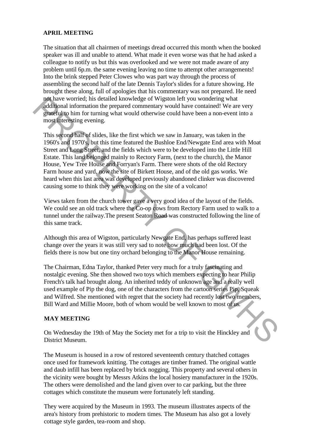#### **APRIL MEETING**

The situation that all chairmen of meetings dread occurred this month when the booked speaker was ill and unable to attend. What made it even worse was that he had asked a colleague to notify us but this was overlooked and we were not made aware of any problem until 6p.m. the same evening leaving no time to attempt other arrangements! Into the brink stepped Peter Clowes who was part way through the process of assembling the second half of the late Dennis Taylor's slides for a future showing. He brought these along, full of apologies that his commentary was not prepared. He need not have worried; his detailed knowledge of Wigston left you wondering what additional information the prepared commentary would have contained! We are very grateful to him for turning what would otherwise could have been a non-event into a most interesting evening.

This second half of slides, like the first which we saw in January, was taken in the 1960's and 1970's, but this time featured the Bushloe End/Newgate End area with Moat Street and Long Street, and the fields which were to be developed into the Little Hill Estate. This land belonged mainly to Rectory Farm, (next to the church), the Manor House, Yew Tree House and Forryan's Farm. There were shots of the old Rectory Farm house and yard, now the site of Birkett House, and of the old gas works. We heard when this last area was developed previously abandoned clinker was discovered causing some to think they were working on the site of a volcano! not have correct, his detailed knowledge of Wigston left you wondering what<br>diffusnal information the prepared commentary would have contained! We are very<br>grassically buin for turning what would otherwise could have been

Views taken from the church tower gave a very good idea of the layout of the fields. We could see an old track where the Co-op cows from Rectory Farm used to walk to a tunnel under the railway.The present Seaton Road was constructed following the line of this same track.

Although this area of Wigston, particularly Newgate End, has perhaps suffered least change over the years it was still very sad to note how much had been lost. Of the fields there is now but one tiny orchard belonging to the Manor House remaining.

The Chairman, Edna Taylor, thanked Peter very much for a truly fascinating and nostalgic evening. She then showed two toys which members expecting to hear Philip French's talk had brought along. An inherited teddy of unknown age and a really well used example of Pip the dog, one of the characters from the cartoon series Pip, Squeak and Wilfred. She mentioned with regret that the society had recently lost two members, Bill Ward and Millie Moore, both of whom would be well known to most of us.

#### **MAY MEETING**

On Wednesday the 19th of May the Society met for a trip to visit the Hinckley and District Museum.

The Museum is housed in a row of restored seventeenth century thatched cottages once used for framework knitting. The cottages are timber framed. The original wattle and daub infill has been replaced by brick nogging. This property and several others in the vicinity were bought by Messrs Atkins the local hosiery manufacturer in the 1920s. The others were demolished and the land given over to car parking, but the three cottages which constitute the museum were fortunately left standing.

They were acquired by the Museum in 1993. The museum illustrates aspects of the area's history from prehistoric to modern times. The Museum has also got a lovely cottage style garden, tea-room and shop.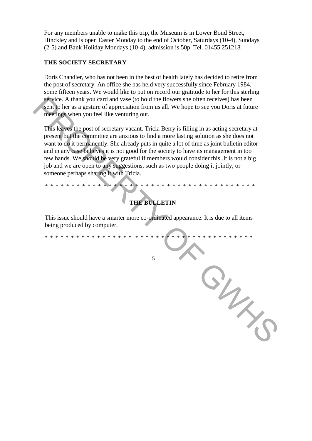For any members unable to make this trip, the Museum is in Lower Bond Street, Hinckley and is open Easter Monday to the end of October, Saturdays (10-4), Sundays (2-5) and Bank Holiday Mondays (10-4), admission is 50p. Tel. 01455 251218.

#### **THE SOCIETY SECRETARY**

Doris Chandler, who has not been in the best of health lately has decided to retire from the post of secretary. An office she has held very successfully since February 1984, some fifteen years. We would like to put on record our gratitude to her for this sterling service. A thank you card and vase (to hold the flowers she often receives) has been sent to her as a gesture of appreciation from us all. We hope to see you Doris at future meetings when you feel like venturing out.

This leaves the post of secretary vacant. Tricia Berry is filling in as acting secretary at present but the committee are anxious to find a more lasting solution as she does not want to do it permanently. She already puts in quite a lot of time as joint bulletin editor and in any case believes it is not good for the society to have its management in too few hands. We should be very grateful if members would consider this .It is not a big job and we are open to any suggestions, such as two people doing it jointly, or someone perhaps sharing it with Tricia. service. A thank you can't due to fold the flowers the offer line to the state and wave (to held the flowers of the content of the content of the service of the service of the service of the service of the content of the

## **THE BULLETIN**

\* \* \* \* \* \* \* \* \* \* \* \* \* \* \* \* \* \* \* \* \* \* \* \* \* \* \* \* \* \* \* \* \* \* \* \* \* \* \* \*

This issue should have a smarter more co-ordinated appearance. It is due to all items being produced by computer.

\* \* \* \* \* \* \* \* \* \* \* \* \* \* \* \* \* \* \* \* \* \* \* \* \* \* \* \* \* \* \* \* \* \* \* \* \* \* \* \*

5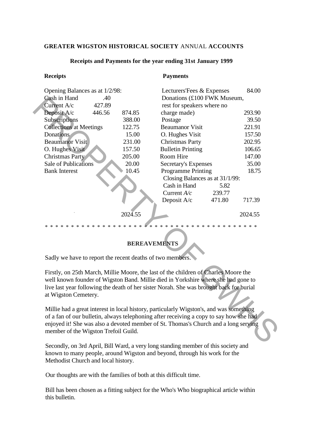#### **GREATER WIGSTON HISTORICAL SOCIETY** ANNUAL **ACCOUNTS**

| <b>Receipts</b>                                                                                                                                                                                                                                                                                                  |         | <b>Payments</b>             |         |
|------------------------------------------------------------------------------------------------------------------------------------------------------------------------------------------------------------------------------------------------------------------------------------------------------------------|---------|-----------------------------|---------|
| Opening Balances as at 1/2/98:                                                                                                                                                                                                                                                                                   |         | Lecturers'Fees & Expenses   | 84.00   |
| Cash in Hand<br>.40                                                                                                                                                                                                                                                                                              |         | Donations (£100 FWK Museum, |         |
| Current A/c<br>427.89                                                                                                                                                                                                                                                                                            |         | rest for speakers where no  |         |
| Deposit A/c<br>446.56                                                                                                                                                                                                                                                                                            | 874.85  | charge made)                | 293.90  |
| Subscriptions                                                                                                                                                                                                                                                                                                    | 388.00  | Postage                     | 39.50   |
| <b>Collections at Meetings</b>                                                                                                                                                                                                                                                                                   | 122.75  | <b>Beaumanor Visit</b>      | 221.91  |
| <b>Donations</b>                                                                                                                                                                                                                                                                                                 | 15.00   | O. Hughes Visit             | 157.50  |
| <b>Beaumanor Visit</b>                                                                                                                                                                                                                                                                                           | 231.00  | <b>Christmas Party</b>      | 202.95  |
| O. Hughes Visit                                                                                                                                                                                                                                                                                                  | 157.50  | <b>Bulletin Printing</b>    | 106.65  |
| <b>Christmas Party</b>                                                                                                                                                                                                                                                                                           | 205.00  | Room Hire                   | 147.00  |
| <b>Sale of Publications</b>                                                                                                                                                                                                                                                                                      | 20.00   | <b>Secretary's Expenses</b> | 35.00   |
| <b>Bank Interest</b>                                                                                                                                                                                                                                                                                             | 10.45   | <b>Programme Printing</b>   | 18.75   |
| Closing Balances as at 31/1/99:                                                                                                                                                                                                                                                                                  |         |                             |         |
|                                                                                                                                                                                                                                                                                                                  |         | Cash in Hand<br>5.82        |         |
|                                                                                                                                                                                                                                                                                                                  |         | 239.77<br>Current $A/c$     |         |
|                                                                                                                                                                                                                                                                                                                  |         | Deposit A/c<br>471.80       | 717.39  |
|                                                                                                                                                                                                                                                                                                                  | 2024.55 |                             | 2024.55 |
| $* * *$<br>* * *<br>$\mathcal{R}^{\prime}$<br>$\ast$<br>* * * * * * * * * * * *<br>$\ast$<br>$\ast$<br>$\ast$<br>*<br>$\ast$<br>$\ast$<br>$\ast$<br><b>BEREAVEMENTS</b>                                                                                                                                          |         |                             |         |
| Sadly we have to report the recent deaths of two members.                                                                                                                                                                                                                                                        |         |                             |         |
|                                                                                                                                                                                                                                                                                                                  |         |                             |         |
| Firstly, on 25th March, Millie Moore, the last of the children of Charles Moore the<br>well known founder of Wigston Band. Millie died in Yorkshire where she had gone to<br>live last year following the death of her sister Norah. She was brought back for burial<br>at Wigston Cemetery.                     |         |                             |         |
| Millie had a great interest in local history, particularly Wigston's, and was something<br>of a fan of our bulletin, always telephoning after receiving a copy to say how she had<br>enjoyed it! She was also a devoted member of St. Thomas's Church and a long serving<br>member of the Wigston Trefoil Guild. |         |                             |         |
|                                                                                                                                                                                                                                                                                                                  |         |                             |         |

#### **Receipts and Payments for the year ending 31st January 1999**

### **BEREAVEMENTS**

Secondly, on 3rd April, Bill Ward, a very long standing member of this society and known to many people, around Wigston and beyond, through his work for the Methodist Church and local history.

Our thoughts are with the families of both at this difficult time.

Bill has been chosen as a fitting subject for the Who's Who biographical article within this bulletin.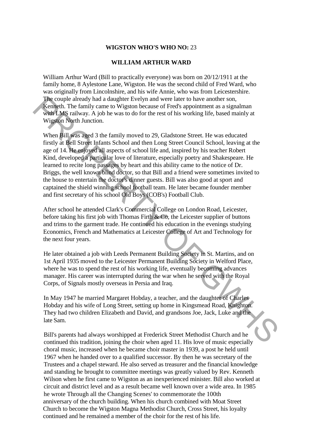#### **WIGSTON WHO'S WHO NO:** 23

#### **WILLIAM ARTHUR WARD**

William Arthur Ward (Bill to practically everyone) was born on 20/12/1911 at the family home, 8 Aylestone Lane, Wigston. He was the second child of Fred Ward, who was originally from Lincolnshire, and his wife Annie, who was from Leicestershire. The couple already had a daughter Evelyn and were later to have another son, Kenneth. The family came to Wigston because of Fred's appointment as a signalman with LMS railway. A job he was to do for the rest of his working life, based mainly at Wigston North Junction.

When Bill was aged 3 the family moved to 29, Gladstone Street. He was educated firstly at Bell Street Infants School and then Long Street Council School, leaving at the age of 14. He enjoyed all aspects of school life and, inspired by his teacher Robert Kind, developed a particular love of literature, especially poetry and Shakespeare. He learned to recite long passages by heart and this ability came to the notice of Dr. Briggs, the well known blind doctor, so that Bill and a friend were sometimes invited to the house to entertain the doctor's dinner guests. Bill was also good at sport and captained the shield winning school football team. He later became founder member and first secretary of his school Old Boys (COB's) Football Club. The coople already had a daughter Hvelsyn and were later to have another some and which and a daughter Hvelsyn and were later to have a more than we will speak to the was to do for the rest of his working life, based main

After school he attended Clark's Commercial College on London Road, Leicester, before taking his first job with Thomas Firth & Co, the Leicester supplier of buttons and trims to the garment trade. He continued his education in the evenings studying Economics, French and Mathematics at Leicester College of Art and Technology for the next four years.

He later obtained a job with Leeds Permanent Building Society in St. Martins, and on 1st April 1935 moved to the Leicester Permanent Building Society in Welford Place, where he was to spend the rest of his working life, eventually becoming advances manager. His career was interrupted during the war when he served with the Royal Corps, of Signals mostly overseas in Persia and Iraq.

In May 1947 he married Margaret Hobday, a teacher, and the daughter of Charles Hobday and his wife of Long Street, setting up home in Kingsmead Road, Knighton. They had two children Elizabeth and David, and grandsons Joe, Jack, Luke and the late Sam.

Bill's parents had always worshipped at Frederick Street Methodist Church and he continued this tradition, joining the choir when aged 11. His love of music especially choral music, increased when he became choir master in 1939, a post he held until 1967 when he handed over to a qualified successor. By then he was secretary of the Trustees and a chapel steward. He also served as treasurer and the financial knowledge and standing he brought to committee meetings was greatly valued by Rev. Kenneth Wilson when he first came to Wigston as an inexperienced minister. Bill also worked at circuit and district level and as a result became well known over a wide area. In 1985 he wrote Through all the Changing Scenes' to commemorate the 100th anniversary of the church building. When his church combined with Moat Street Church to become the Wigston Magna Methodist Church, Cross Street, his loyalty continued and he remained a member of the choir for the rest of his life.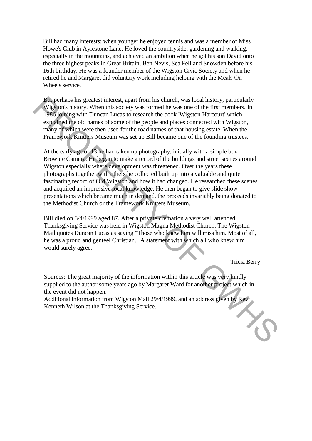Bill had many interests; when younger he enjoyed tennis and was a member of Miss Howe's Club in Aylestone Lane. He loved the countryside, gardening and walking, especially in the mountains, and achieved an ambition when he got his son David onto the three highest peaks in Great Britain, Ben Nevis, Sea Fell and Snowden before his 16th birthday. He was a founder member of the Wigston Civic Society and when he retired he and Margaret did voluntary work including helping with the Meals On Wheels service.

But perhaps his greatest interest, apart from his church, was local history, particularly Wigston's history. When this society was formed he was one of the first members. In 1986 joining with Duncan Lucas to research the book 'Wigston Harcourt' which explained the old names of some of the people and places connected with Wigston, many of which were then used for the road names of that housing estate. When the Framework Knitters Museum was set up Bill became one of the founding trustees.

At the early age of 13 he had taken up photography, initially with a simple box Brownie Camera. He began to make a record of the buildings and street scenes around Wigston especially where development was threatened. Over the years these photographs together with others he collected built up into a valuable and quite fascinating record of Old Wigston and how it had changed. He researched these scenes and acquired an impressive local knowledge. He then began to give slide show presentations which became much in demand, the proceeds invariably being donated to the Methodist Church or the Framework Knitters Museum. Biometrian bis greatest interest, apart from his church, was local bistory, particularly in<br>Figures history. When this society was formed he was one of the first members. In<br>1986 joining with Duncan Lucas to research the

Bill died on 3/4/1999 aged 87. After a private cremation a very well attended Thanksgiving Service was held in Wigston Magna Methodist Church. The Wigston Mail quotes Duncan Lucas as saying "Those who knew him will miss him. Most of all, he was a proud and genteel Christian." A statement with which all who knew him would surely agree.

Tricia Berry

Sources: The great majority of the information within this article was very kindly supplied to the author some years ago by Margaret Ward for another project which in the event did not happen.

Additional information from Wigston Mail 29/4/1999, and an address given by Rev. Kenneth Wilson at the Thanksgiving Service.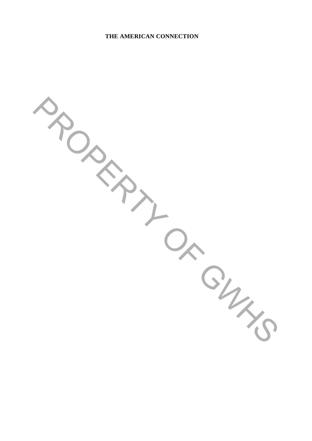#### **THE AMERICAN CONNECTION**

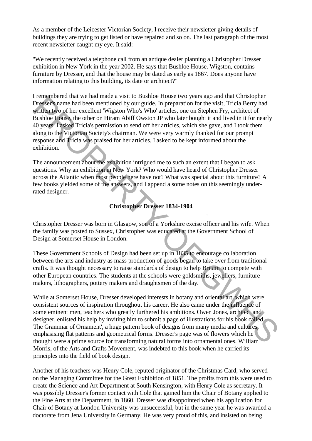As a member of the Leicester Victorian Society, I receive their newsletter giving details of buildings they are trying to get listed or have repaired and so on. The last paragraph of the most recent newsletter caught my eye. It said:

"We recently received a telephone call from an antique dealer planning a Christopher Dresser exhibition in New York in the year 2002. He says that Bushloe House. Wigston, contains furniture by Dresser, and that the house may be dated as early as 1867. Does anyone have information relating to this building, its date or architect?"

I remembered that we had made a visit to Bushloe House two years ago and that Christopher Dresser's name had been mentioned by our guide. In preparation for the visit, Tricia Berry had written two of her excellent 'Wigston Who's Who' articles, one on Stephen Fry, architect of Bushloe House, the other on Hiram Abiff Owston JP who later bought it and lived in it for nearly 40 years. I asked Tricia's permission to send off her articles, which she gave, and I took them along to the Victorian Society's chairman. We were very warmly thanked for our prompt response and Tricia was praised for her articles. I asked to be kept informed about the exhibition. Fraction can one may make a real of the Desimber Processor (and the Constant Constant Constant Constant Constant Constant Constant Constant Constant Constant Constant Constant Constant Constant Constant Constant Constant C

The announcement about the exhibition intrigued me to such an extent that I began to ask questions. Why an exhibition in New York? Who would have heard of Christopher Dresser across the Atlantic when most people here have not? What was special about this furniture? A few books yielded some of the answers, and I append a some notes on this seemingly underrated designer.

#### **Christopher Dresser 1834-1904**

.

Christopher Dresser was born in Glasgow, son of a Yorkshire excise officer and his wife. When the family was posted to Sussex, Christopher was educated at the Government School of Design at Somerset House in London.

These Government Schools of Design had been set up in 1835 to encourage collaboration between the arts and industry as mass production of goods began to take over from traditional crafts. It was thought necessary to raise standards of design to help Britain to compete with other European countries. The students at the schools were goldsmiths, jewellers, furniture makers, lithographers, pottery makers and draughtsmen of the day.

While at Somerset House, Dresser developed interests in botany and oriental art, which were consistent sources of inspiration throughout his career. He also came under the influence of some eminent men, teachers who greatly furthered his ambitions. Owen Jones, architect and designer, enlisted his help by inviting him to submit a page of illustrations for his book called The Grammar of Ornament', a huge pattern book of designs from many media and cultures, emphasising flat patterns and geometrical forms. Dresser's page was of flowers which he thought were a prime source for transforming natural forms into ornamental ones. William Morris, of the Arts and Crafts Movement, was indebted to this book when he carried its principles into the field of book design.

Another of his teachers was Henry Cole, reputed originator of the Christmas Card, who served on the Managing Committee for the Great Exhibition of 1851. The profits from this were used to create the Science and Art Department at South Kensington, with Henry Cole as secretary. It was possibly Dresser's former contact with Cole that gained him the Chair of Botany applied to the Fine Arts at the Department, in 1860. Dresser was disappointed when his application for Chair of Botany at London University was unsuccessful, but in the same year he was awarded a doctorate from Jena University in Germany. He was very proud of this, and insisted on being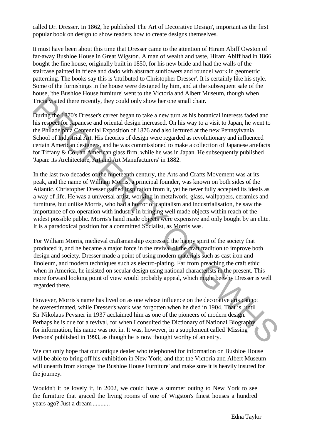called Dr. Dresser. In 1862, he published The Art of Decorative Design', important as the first popular book on design to show readers how to create designs themselves.

It must have been about this time that Dresser came to the attention of Hiram Abiff Owston of far-away Bushloe House in Great Wigston. A man of wealth and taste, Hiram Abiff had in 1866 bought the fine house, originally built in 1850, for his new bride and had the walls of the staircase painted in frieze and dado with abstract sunflowers and roundel work in geometric patterning. The books say this is 'attributed to Christopher Dresser'. It is certainly like his style. Some of the furnishings in the house were designed by him, and at the subsequent sale of the house, 'the Bushloe House furniture' went to the Victoria and Albert Museum, though when Tricia visited there recently, they could only show her one small chair.

During the 1870's Dresser's career began to take a new turn as his botanical interests faded and his respect for Japanese and oriental design increased. On his way to a visit to Japan, he went to the Philadelphia Centennial Exposition of 1876 and also lectured at the new Pennsylvania School of Industrial Art. His theories of design were regarded as revolutionary and influenced certain American designers, and he was commissioned to make a collection of Japanese artefacts for Tiffany & Co., an American glass firm, while he was in Japan. He subsequently published 'Japan: its Architecture, Art and Art Manufacturers' in 1882.

In the last two decades of the nineteenth century, the Arts and Crafts Movement was at its peak, and the name of William Morris, a principal founder, was known on both sides of the Atlantic. Christopher Dresser gained inspiration from it, yet he never fully accepted its ideals as a way of life. He was a universal artist, working in metalwork, glass, wallpapers, ceramics and furniture, but unlike Morris, who had a horror of capitalism and industrialisation, he saw the importance of co-operation with industry in bringing well made objects within reach of the widest possible public. Morris's hand made objects were expensive and only bought by an elite. It is a paradoxical position for a committed Socialist, as Morris was. Tricia visited there recently, they could only show her one small chair.<br>
During the 1870's Dresser's career began to take a new turn as his botanical interests faded and<br>
his respect to Apparese and oriental design increa

For William Morris, medieval craftsmanship expressed the happy spirit of the society that produced it, and he became a major force in the revival of the craft tradition to improve both design and society. Dresser made a point of using modern materials such as cast iron and linoleum, and modern techniques such as electro-plating. Far from preaching the craft ethic when in America, he insisted on secular design using national characterists in the present. This more forward looking point of view would probably appeal, which might be why Dresser is well regarded there.

However, Morris's name has lived on as one whose influence on the decorative arts cannot be overestimated, while Dresser's work was forgotten when he died in 1904. That is, until Sir Nikolaus Pevsner in 1937 acclaimed him as one of the pioneers of modern design. Perhaps he is due for a revival, for when I consulted the Dictionary of National Biography for information, his name was not in. It was, however, in a supplement called 'Missing Persons' published in 1993, as though he is now thought worthy of an entry.

We can only hope that our antique dealer who telephoned for information on Bushloe House will be able to bring off his exhibition in New York, and that the Victoria and Albert Museum will unearth from storage 'the Bushloe House Furniture' and make sure it is heavily insured for the journey.

Wouldn't it be lovely if, in 2002, we could have a summer outing to New York to see the furniture that graced the living rooms of one of Wigston's finest houses a hundred years ago? Just a dream ...........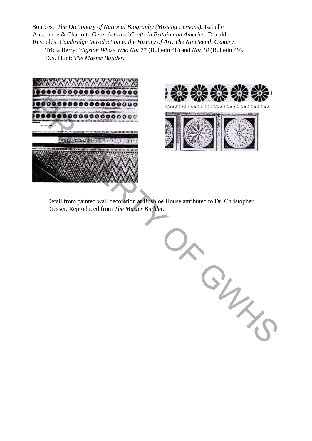Sources: *The Dictionary of National Biography (Missing Persons).* Isabelle Anscombe & Charlotte Gere: *Arts and Crafts in Britain and America.* Donald Reynolds: *Cambridge Introduction to the History of Art, The Nineteenth Century.*

Tricia Berry: *Wigston Who's Who No:* 77 (Bulletin 48) and *No: 18* (Bulletin 49). D.S. Hunt: *The Master Builder.*





Detail from painted wall decoration at Bushloe House attributed to Dr. Christopher Dresser. Reproduced from *The Master Builder.*

PRODUCED CORRECTED CORRECTED CORRECTED TO DEVELOP THE MASTER BURGLEY.<br>
Detail from painted wall decoration at Babilor House attributed to Dr. Christopher<br>
Dresser. Reproduced from *The Master Builder.*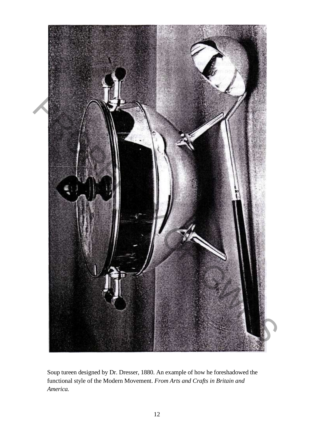

Soup tureen designed by Dr. Dresser, 1880. An example of how he foreshadowed the functional style of the Modern Movement. *From Arts and Crafts in Britain and America.*